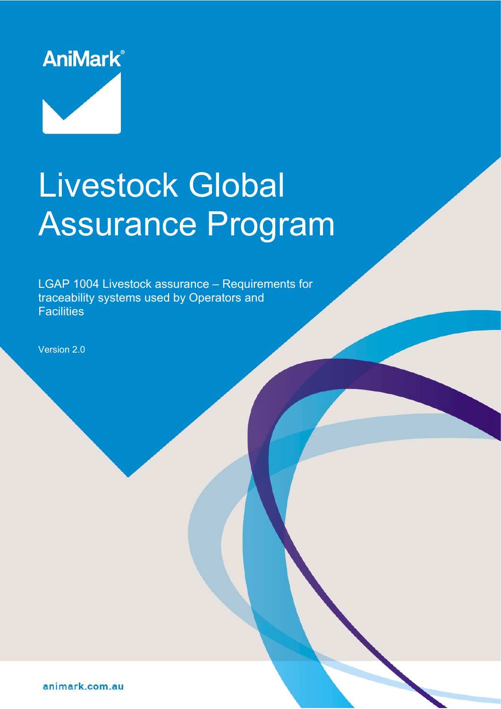

# Livestock Global Assurance Program

LGAP 1004 Livestock assurance – Requirements for traceability systems used by Operators and **Facilities** 

Version 2.0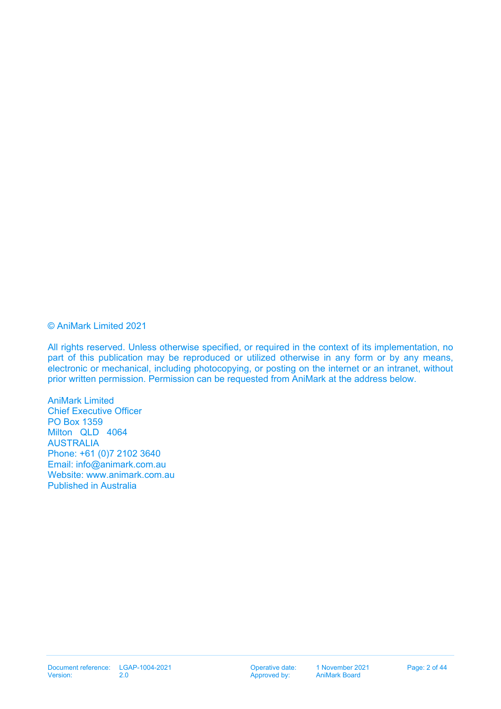#### © AniMark Limited 2021

All rights reserved. Unless otherwise specified, or required in the context of its implementation, no part of this publication may be reproduced or utilized otherwise in any form or by any means, electronic or mechanical, including photocopying, or posting on the internet or an intranet, without prior written permission. Permission can be requested from AniMark at the address below.

AniMark Limited Chief Executive Officer PO Box 1359 Milton QLD 4064 AUSTRALIA Phone: +61 (0)7 2102 3640 Email: [info@animark.com.au](mailto:info@animark.com.au) Website: [www.animark.com.au](http://www.animark.com.au/) Published in Australia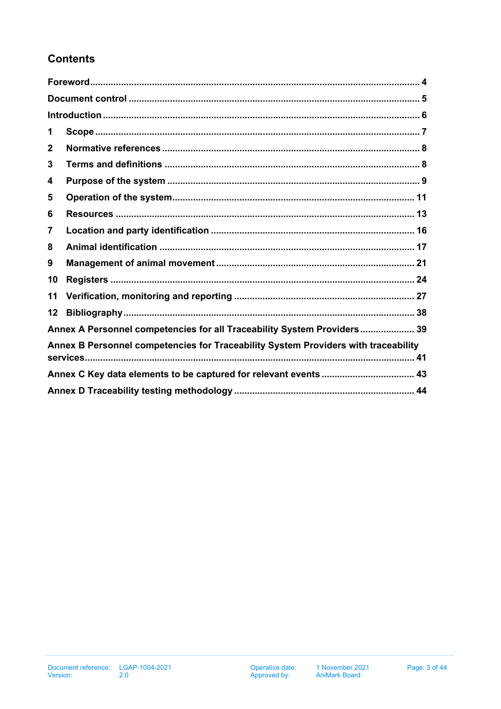# **Contents**

| 1                                                                                  |                                                                         |  |  |  |  |
|------------------------------------------------------------------------------------|-------------------------------------------------------------------------|--|--|--|--|
| $\mathbf{2}$                                                                       |                                                                         |  |  |  |  |
| 3                                                                                  |                                                                         |  |  |  |  |
| 4                                                                                  |                                                                         |  |  |  |  |
| 5                                                                                  |                                                                         |  |  |  |  |
| 6                                                                                  |                                                                         |  |  |  |  |
| 7                                                                                  |                                                                         |  |  |  |  |
| 8                                                                                  |                                                                         |  |  |  |  |
| 9                                                                                  |                                                                         |  |  |  |  |
| 10                                                                                 |                                                                         |  |  |  |  |
| 11                                                                                 |                                                                         |  |  |  |  |
| 12                                                                                 |                                                                         |  |  |  |  |
|                                                                                    | Annex A Personnel competencies for all Traceability System Providers 39 |  |  |  |  |
| Annex B Personnel competencies for Traceability System Providers with traceability |                                                                         |  |  |  |  |
|                                                                                    |                                                                         |  |  |  |  |
|                                                                                    |                                                                         |  |  |  |  |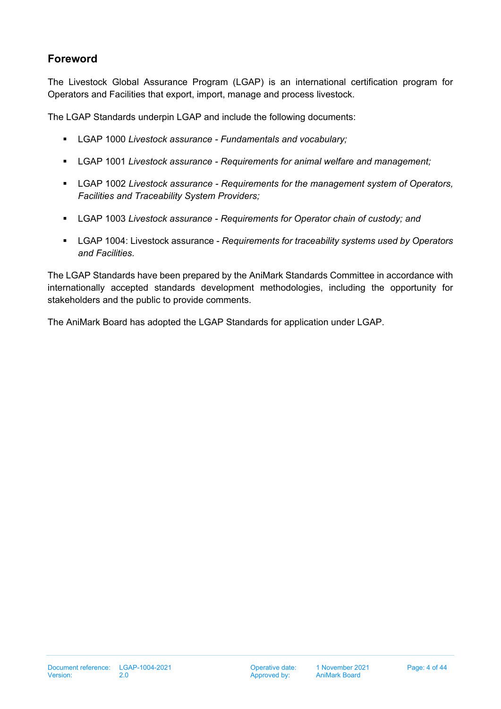# <span id="page-3-0"></span>**Foreword**

The Livestock Global Assurance Program (LGAP) is an international certification program for Operators and Facilities that export, import, manage and process livestock.

The LGAP Standards underpin LGAP and include the following documents:

- LGAP 1000 *Livestock assurance Fundamentals and vocabulary;*
- LGAP 1001 *Livestock assurance Requirements for animal welfare and management;*
- LGAP 1002 *Livestock assurance Requirements for the management system of Operators, Facilities and Traceability System Providers;*
- LGAP 1003 *Livestock assurance Requirements for Operator chain of custody; and*
- LGAP 1004: Livestock assurance *Requirements for traceability systems used by Operators and Facilities.*

The LGAP Standards have been prepared by the AniMark Standards Committee in accordance with internationally accepted standards development methodologies, including the opportunity for stakeholders and the public to provide comments.

The AniMark Board has adopted the LGAP Standards for application under LGAP.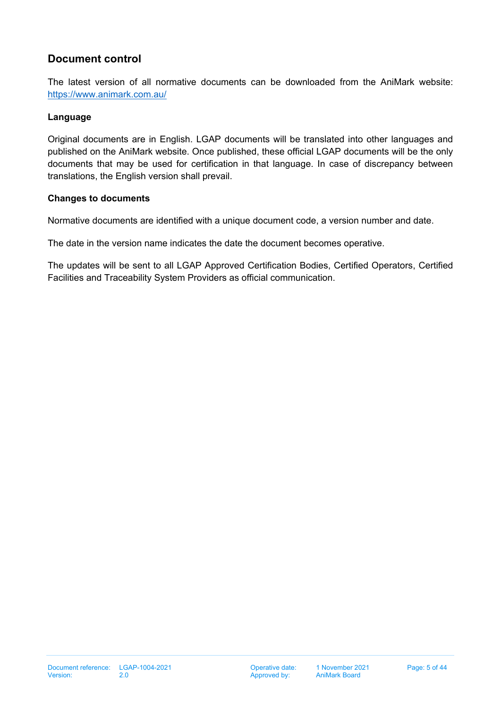# <span id="page-4-0"></span>**Document control**

The latest version of all normative documents can be downloaded from the AniMark website: <https://www.animark.com.au/>

#### **Language**

Original documents are in English. LGAP documents will be translated into other languages and published on the AniMark website. Once published, these official LGAP documents will be the only documents that may be used for certification in that language. In case of discrepancy between translations, the English version shall prevail.

#### **Changes to documents**

Normative documents are identified with a unique document code, a version number and date.

The date in the version name indicates the date the document becomes operative.

The updates will be sent to all LGAP Approved Certification Bodies, Certified Operators, Certified Facilities and Traceability System Providers as official communication.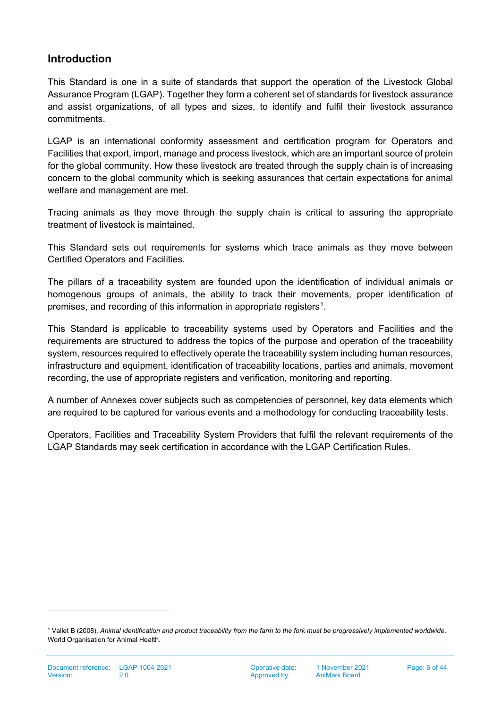# <span id="page-5-0"></span>**Introduction**

This Standard is one in a suite of standards that support the operation of the Livestock Global Assurance Program (LGAP). Together they form a coherent set of standards for livestock assurance and assist organizations, of all types and sizes, to identify and fulfil their livestock assurance commitments.

LGAP is an international conformity assessment and certification program for Operators and Facilities that export, import, manage and process livestock, which are an important source of protein for the global community. How these livestock are treated through the supply chain is of increasing concern to the global community which is seeking assurances that certain expectations for animal welfare and management are met.

Tracing animals as they move through the supply chain is critical to assuring the appropriate treatment of livestock is maintained.

This Standard sets out requirements for systems which trace animals as they move between Certified Operators and Facilities.

The pillars of a traceability system are founded upon the identification of individual animals or homogenous groups of animals, the ability to track their movements, proper identification of premises, and recording of this information in appropriate registers<sup>[1](#page-5-1)</sup>.

This Standard is applicable to traceability systems used by Operators and Facilities and the requirements are structured to address the topics of the purpose and operation of the traceability system, resources required to effectively operate the traceability system including human resources, infrastructure and equipment, identification of traceability locations, parties and animals, movement recording, the use of appropriate registers and verification, monitoring and reporting.

A number of Annexes cover subjects such as competencies of personnel, key data elements which are required to be captured for various events and a methodology for conducting traceability tests.

Operators, Facilities and Traceability System Providers that fulfil the relevant requirements of the LGAP Standards may seek certification in accordance with the LGAP Certification Rules.

<span id="page-5-1"></span><sup>1</sup> Vallet B (2008). *Animal identification and product traceability from the farm to the fork must be progressively implemented worldwide*. World Organisation for Animal Health.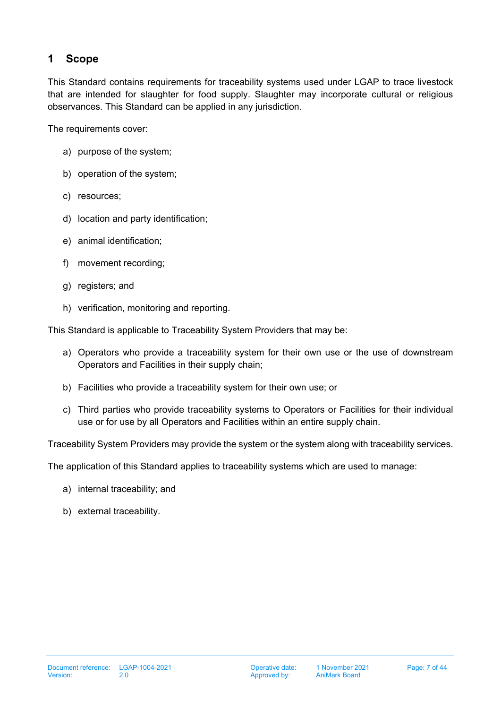# <span id="page-6-0"></span>**1 Scope**

This Standard contains requirements for traceability systems used under LGAP to trace livestock that are intended for slaughter for food supply. Slaughter may incorporate cultural or religious observances. This Standard can be applied in any jurisdiction.

The requirements cover:

- a) purpose of the system;
- b) operation of the system;
- c) resources;
- d) location and party identification;
- e) animal identification;
- f) movement recording;
- g) registers; and
- h) verification, monitoring and reporting.

This Standard is applicable to Traceability System Providers that may be:

- a) Operators who provide a traceability system for their own use or the use of downstream Operators and Facilities in their supply chain;
- b) Facilities who provide a traceability system for their own use; or
- c) Third parties who provide traceability systems to Operators or Facilities for their individual use or for use by all Operators and Facilities within an entire supply chain.

Traceability System Providers may provide the system or the system along with traceability services.

The application of this Standard applies to traceability systems which are used to manage:

- a) internal traceability; and
- b) external traceability.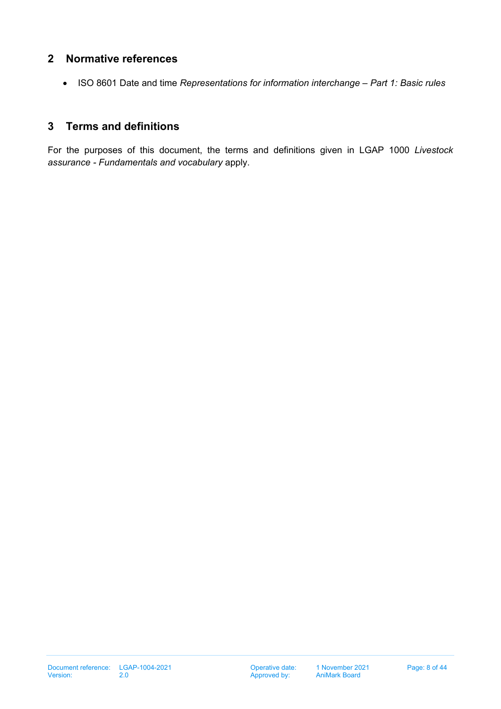## <span id="page-7-0"></span>**2 Normative references**

• ISO 8601 Date and time *Representations for information interchange – Part 1: Basic rules*

## <span id="page-7-1"></span>**3 Terms and definitions**

For the purposes of this document, the terms and definitions given in LGAP 1000 *Livestock assurance - Fundamentals and vocabulary* apply.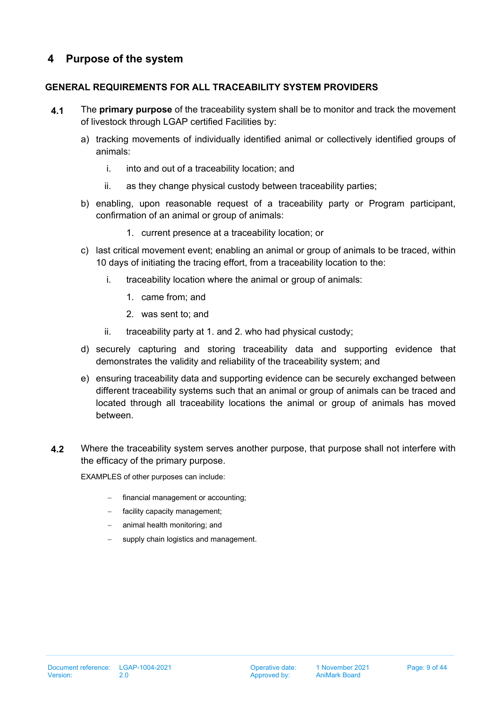# <span id="page-8-0"></span>**4 Purpose of the system**

## **GENERAL REQUIREMENTS FOR ALL TRACEABILITY SYSTEM PROVIDERS**

- <span id="page-8-1"></span>**4.1** The **primary purpose** of the traceability system shall be to monitor and track the movement of livestock through LGAP certified Facilities by:
	- a) tracking movements of individually identified animal or collectively identified groups of animals:
		- i. into and out of a traceability location; and
		- ii. as they change physical custody between traceability parties;
	- b) enabling, upon reasonable request of a traceability party or Program participant, confirmation of an animal or group of animals:
		- 1. current presence at a traceability location; or
	- c) last critical movement event; enabling an animal or group of animals to be traced, within 10 days of initiating the tracing effort, from a traceability location to the:
		- i. traceability location where the animal or group of animals:
			- 1. came from; and
			- 2. was sent to; and
		- ii. traceability party at 1. and 2. who had physical custody;
	- d) securely capturing and storing traceability data and supporting evidence that demonstrates the validity and reliability of the traceability system; and
	- e) ensuring traceability data and supporting evidence can be securely exchanged between different traceability systems such that an animal or group of animals can be traced and located through all traceability locations the animal or group of animals has moved between.
- **4.2** Where the traceability system serves another purpose, that purpose shall not interfere with the efficacy of the primary purpose.

EXAMPLES of other purposes can include:

- financial management or accounting;
- facility capacity management;
- − animal health monitoring; and
- supply chain logistics and management.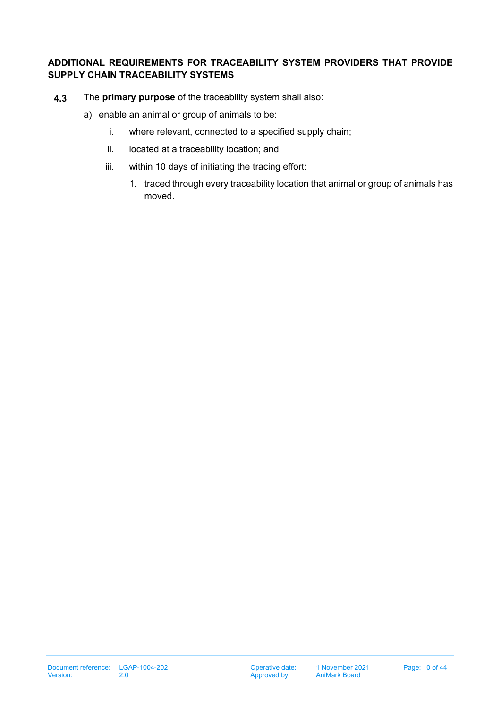## **ADDITIONAL REQUIREMENTS FOR TRACEABILITY SYSTEM PROVIDERS THAT PROVIDE SUPPLY CHAIN TRACEABILITY SYSTEMS**

- <span id="page-9-0"></span>**4.3** The **primary purpose** of the traceability system shall also:
	- a) enable an animal or group of animals to be:
		- i. where relevant, connected to a specified supply chain;
		- ii. located at a traceability location; and
		- iii. within 10 days of initiating the tracing effort:
			- 1. traced through every traceability location that animal or group of animals has moved.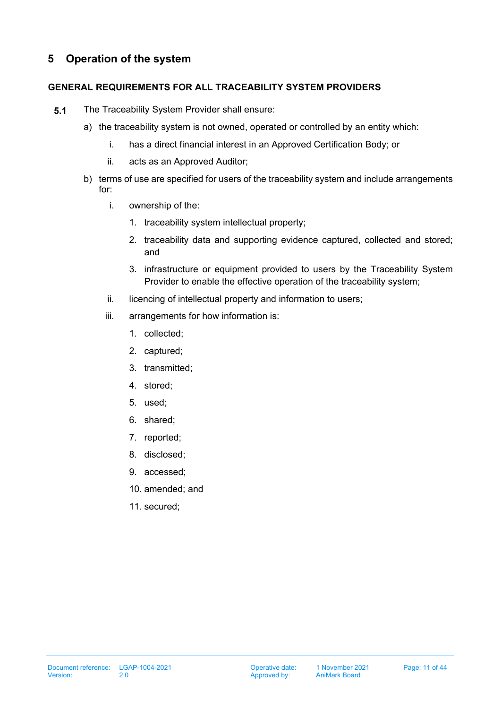# <span id="page-10-0"></span>**5 Operation of the system**

## **GENERAL REQUIREMENTS FOR ALL TRACEABILITY SYSTEM PROVIDERS**

- **5.1** The Traceability System Provider shall ensure:
	- a) the traceability system is not owned, operated or controlled by an entity which:
		- i. has a direct financial interest in an Approved Certification Body; or
		- ii. acts as an Approved Auditor;
	- b) terms of use are specified for users of the traceability system and include arrangements for:
		- i. ownership of the:
			- 1. traceability system intellectual property;
			- 2. traceability data and supporting evidence captured, collected and stored; and
			- 3. infrastructure or equipment provided to users by the Traceability System Provider to enable the effective operation of the traceability system;
		- ii. licencing of intellectual property and information to users;
		- iii. arrangements for how information is:
			- 1. collected;
			- 2. captured;
			- 3. transmitted;
			- 4. stored;
			- 5. used;
			- 6. shared;
			- 7. reported;
			- 8. disclosed;
			- 9. accessed;
			- 10. amended; and
			- 11. secured;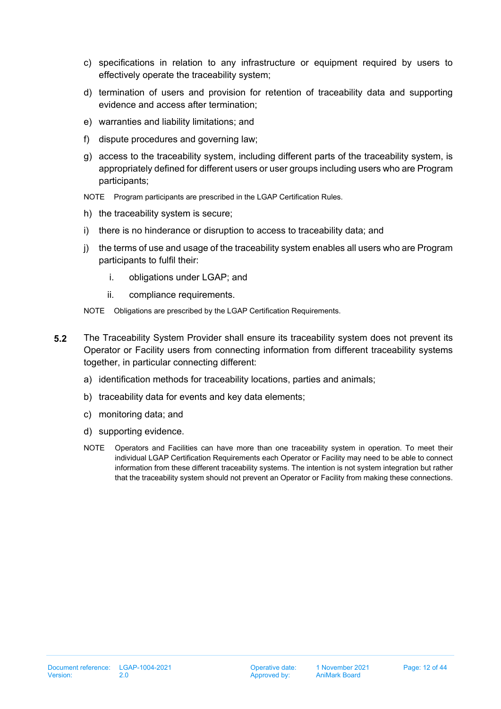- c) specifications in relation to any infrastructure or equipment required by users to effectively operate the traceability system;
- d) termination of users and provision for retention of traceability data and supporting evidence and access after termination;
- e) warranties and liability limitations; and
- f) dispute procedures and governing law;
- g) access to the traceability system, including different parts of the traceability system, is appropriately defined for different users or user groups including users who are Program participants;
- NOTE Program participants are prescribed in the LGAP Certification Rules.
- h) the traceability system is secure;
- i) there is no hinderance or disruption to access to traceability data; and
- j) the terms of use and usage of the traceability system enables all users who are Program participants to fulfil their:
	- i. obligations under LGAP; and
	- ii. compliance requirements.
- NOTE Obligations are prescribed by the LGAP Certification Requirements.
- **5.2** The Traceability System Provider shall ensure its traceability system does not prevent its Operator or Facility users from connecting information from different traceability systems together, in particular connecting different:
	- a) identification methods for traceability locations, parties and animals;
	- b) traceability data for events and key data elements;
	- c) monitoring data; and
	- d) supporting evidence.
	- NOTE Operators and Facilities can have more than one traceability system in operation. To meet their individual LGAP Certification Requirements each Operator or Facility may need to be able to connect information from these different traceability systems. The intention is not system integration but rather that the traceability system should not prevent an Operator or Facility from making these connections.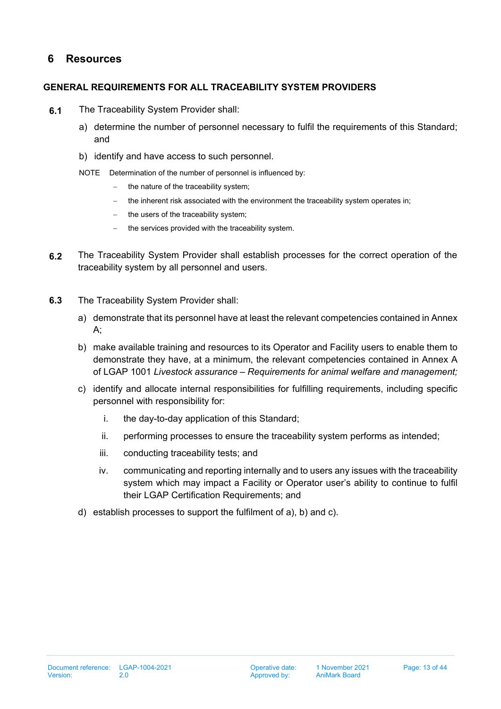# <span id="page-12-0"></span>**6 Resources**

## **GENERAL REQUIREMENTS FOR ALL TRACEABILITY SYSTEM PROVIDERS**

- <span id="page-12-1"></span>**6.1** The Traceability System Provider shall:
	- a) determine the number of personnel necessary to fulfil the requirements of this Standard; and
	- b) identify and have access to such personnel.
	- NOTE Determination of the number of personnel is influenced by:
		- the nature of the traceability system;
		- − the inherent risk associated with the environment the traceability system operates in;
		- − the users of the traceability system;
		- − the services provided with the traceability system.
- **6.2** The Traceability System Provider shall establish processes for the correct operation of the traceability system by all personnel and users.
- **6.3** The Traceability System Provider shall:
	- a) demonstrate that its personnel have at least the relevant competencies contained in Annex A;
	- b) make available training and resources to its Operator and Facility users to enable them to demonstrate they have, at a minimum, the relevant competencies contained in Annex A of LGAP 1001 *Livestock assurance – Requirements for animal welfare and management;*
	- c) identify and allocate internal responsibilities for fulfilling requirements, including specific personnel with responsibility for:
		- i. the day-to-day application of this Standard;
		- ii. performing processes to ensure the traceability system performs as intended;
		- iii. conducting traceability tests; and
		- iv. communicating and reporting internally and to users any issues with the traceability system which may impact a Facility or Operator user's ability to continue to fulfil their LGAP Certification Requirements; and
	- d) establish processes to support the fulfilment of a), b) and c).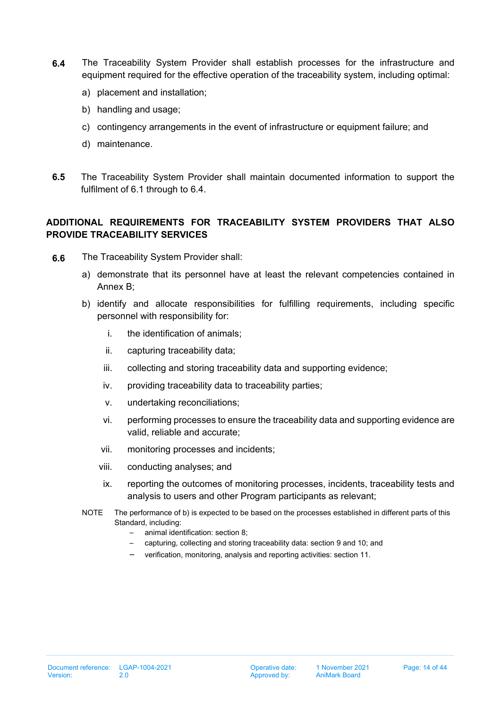- <span id="page-13-0"></span>**6.4** The Traceability System Provider shall establish processes for the infrastructure and equipment required for the effective operation of the traceability system, including optimal:
	- a) placement and installation;
	- b) handling and usage;
	- c) contingency arrangements in the event of infrastructure or equipment failure; and
	- d) maintenance.
- **6.5** The Traceability System Provider shall maintain documented information to support the fulfilment of [6.1](#page-12-1) through to [6.4.](#page-13-0)

## **ADDITIONAL REQUIREMENTS FOR TRACEABILITY SYSTEM PROVIDERS THAT ALSO PROVIDE TRACEABILITY SERVICES**

- **6.6** The Traceability System Provider shall:
	- a) demonstrate that its personnel have at least the relevant competencies contained in Annex B;
	- b) identify and allocate responsibilities for fulfilling requirements, including specific personnel with responsibility for:
		- i. the identification of animals;
		- ii. capturing traceability data;
		- iii. collecting and storing traceability data and supporting evidence;
		- iv. providing traceability data to traceability parties;
		- v. undertaking reconciliations;
		- vi. performing processes to ensure the traceability data and supporting evidence are valid, reliable and accurate;
		- vii. monitoring processes and incidents;
		- viii. conducting analyses; and
		- ix. reporting the outcomes of monitoring processes, incidents, traceability tests and analysis to users and other Program participants as relevant;
	- NOTE The performance of b) is expected to be based on the processes established in different parts of this Standard, including:
		- animal identification: section 8;
		- capturing, collecting and storing traceability data: section 9 and 10; and
		- verification, monitoring, analysis and reporting activities: section 11.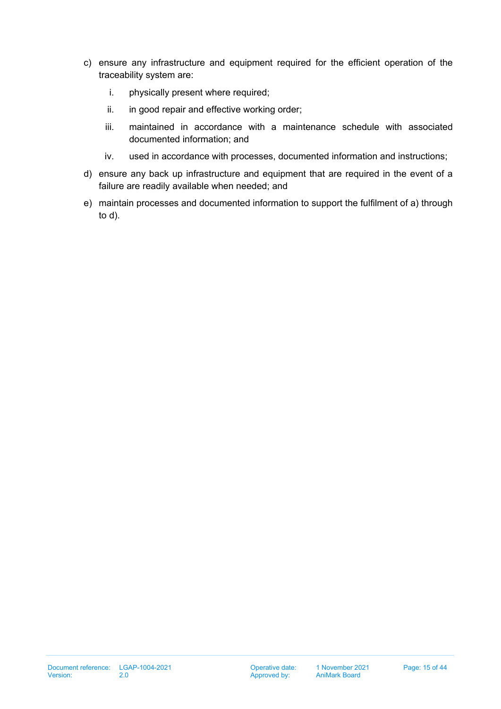- c) ensure any infrastructure and equipment required for the efficient operation of the traceability system are:
	- i. physically present where required;
	- ii. in good repair and effective working order;
	- iii. maintained in accordance with a maintenance schedule with associated documented information; and
	- iv. used in accordance with processes, documented information and instructions;
- d) ensure any back up infrastructure and equipment that are required in the event of a failure are readily available when needed; and
- e) maintain processes and documented information to support the fulfilment of a) through to d).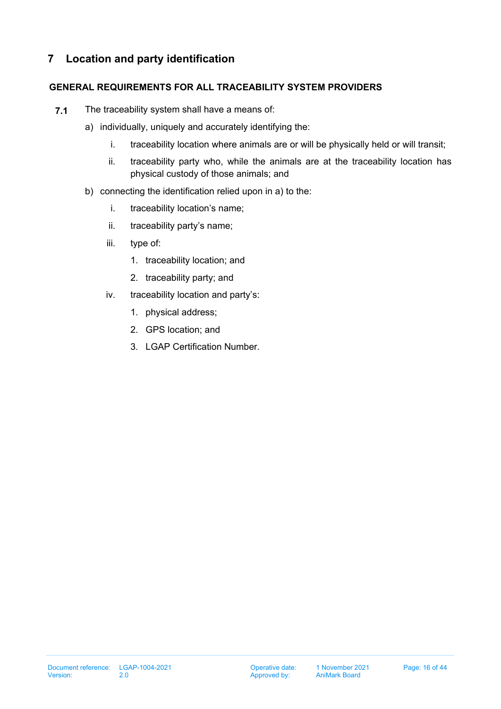# <span id="page-15-0"></span>**7 Location and party identification**

## **GENERAL REQUIREMENTS FOR ALL TRACEABILITY SYSTEM PROVIDERS**

- <span id="page-15-2"></span><span id="page-15-1"></span>**7.1** The traceability system shall have a means of:
	- a) individually, uniquely and accurately identifying the:
		- i. traceability location where animals are or will be physically held or will transit;
		- ii. traceability party who, while the animals are at the traceability location has physical custody of those animals; and
	- b) connecting the identification relied upon in a) to the:
		- i. traceability location's name;
		- ii. traceability party's name;
		- iii. type of:
			- 1. traceability location; and
			- 2. traceability party; and
		- iv. traceability location and party's:
			- 1. physical address;
			- 2. GPS location; and
			- 3. LGAP Certification Number.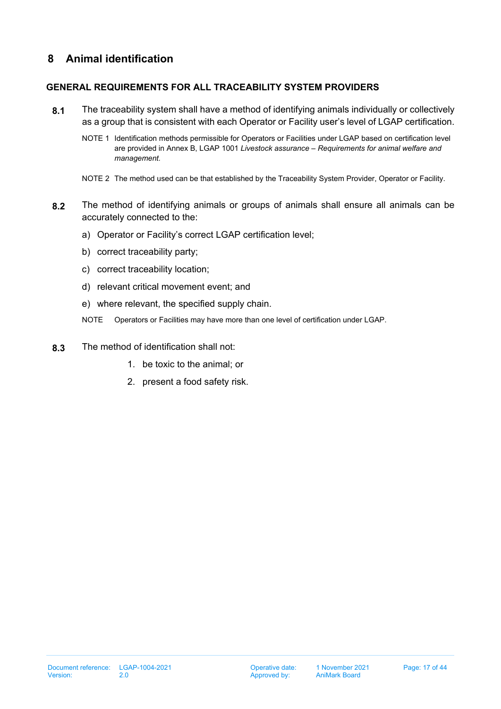# <span id="page-16-0"></span>**8 Animal identification**

## **GENERAL REQUIREMENTS FOR ALL TRACEABILITY SYSTEM PROVIDERS**

- **8.1** The traceability system shall have a method of identifying animals individually or collectively as a group that is consistent with each Operator or Facility user's level of LGAP certification.
	- NOTE 1 Identification methods permissible for Operators or Facilities under LGAP based on certification level are provided in Annex B, LGAP 1001 *Livestock assurance – Requirements for animal welfare and management.*
	- NOTE 2 The method used can be that established by the Traceability System Provider, Operator or Facility.
- **8.2** The method of identifying animals or groups of animals shall ensure all animals can be accurately connected to the:
	- a) Operator or Facility's correct LGAP certification level;
	- b) correct traceability party;
	- c) correct traceability location;
	- d) relevant critical movement event; and
	- e) where relevant, the specified supply chain.
	- NOTE Operators or Facilities may have more than one level of certification under LGAP.
- **8.3** The method of identification shall not:
	- 1. be toxic to the animal; or
	- 2. present a food safety risk.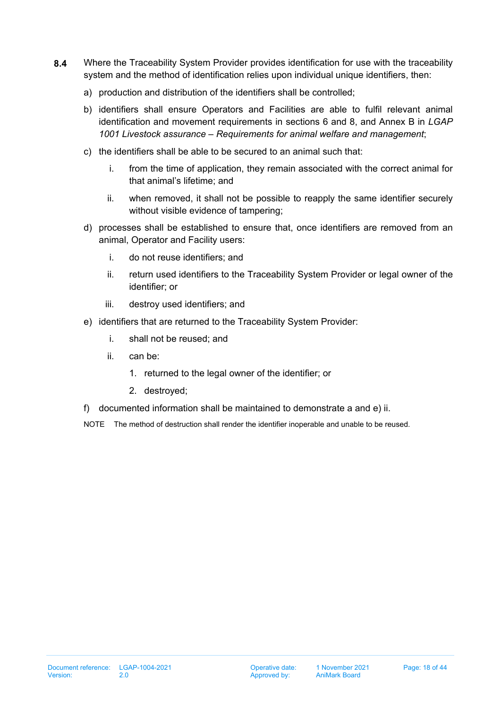- **8.4** Where the Traceability System Provider provides identification for use with the traceability system and the method of identification relies upon individual unique identifiers, then:
	- a) production and distribution of the identifiers shall be controlled;
	- b) identifiers shall ensure Operators and Facilities are able to fulfil relevant animal identification and movement requirements in sections 6 and 8, and Annex B in *LGAP 1001 Livestock assurance – Requirements for animal welfare and management*;
	- c) the identifiers shall be able to be secured to an animal such that:
		- i. from the time of application, they remain associated with the correct animal for that animal's lifetime; and
		- ii. when removed, it shall not be possible to reapply the same identifier securely without visible evidence of tampering;
	- d) processes shall be established to ensure that, once identifiers are removed from an animal, Operator and Facility users:
		- i. do not reuse identifiers; and
		- ii. return used identifiers to the Traceability System Provider or legal owner of the identifier; or
		- iii. destroy used identifiers; and
	- e) identifiers that are returned to the Traceability System Provider:
		- i. shall not be reused; and
		- ii. can be:
			- 1. returned to the legal owner of the identifier; or
			- 2. destroyed;
	- f) documented information shall be maintained to demonstrate a and e) ii.

NOTE The method of destruction shall render the identifier inoperable and unable to be reused.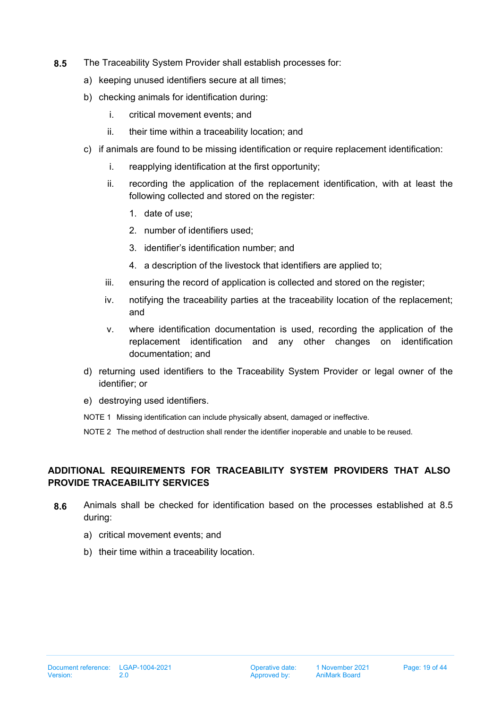- **8.5** The Traceability System Provider shall establish processes for:
	- a) keeping unused identifiers secure at all times;
	- b) checking animals for identification during:
		- i. critical movement events; and
		- ii. their time within a traceability location; and
	- c) if animals are found to be missing identification or require replacement identification:
		- i. reapplying identification at the first opportunity;
		- ii. recording the application of the replacement identification, with at least the following collected and stored on the register:
			- 1. date of use;
			- 2. number of identifiers used;
			- 3. identifier's identification number; and
			- 4. a description of the livestock that identifiers are applied to;
		- iii. ensuring the record of application is collected and stored on the register;
		- iv. notifying the traceability parties at the traceability location of the replacement; and
		- v. where identification documentation is used, recording the application of the replacement identification and any other changes on identification documentation; and
	- d) returning used identifiers to the Traceability System Provider or legal owner of the identifier; or
	- e) destroying used identifiers.
	- NOTE 1 Missing identification can include physically absent, damaged or ineffective.

NOTE 2 The method of destruction shall render the identifier inoperable and unable to be reused.

## **ADDITIONAL REQUIREMENTS FOR TRACEABILITY SYSTEM PROVIDERS THAT ALSO PROVIDE TRACEABILITY SERVICES**

- **8.6** Animals shall be checked for identification based on the processes established at 8.5 during:
	- a) critical movement events; and
	- b) their time within a traceability location.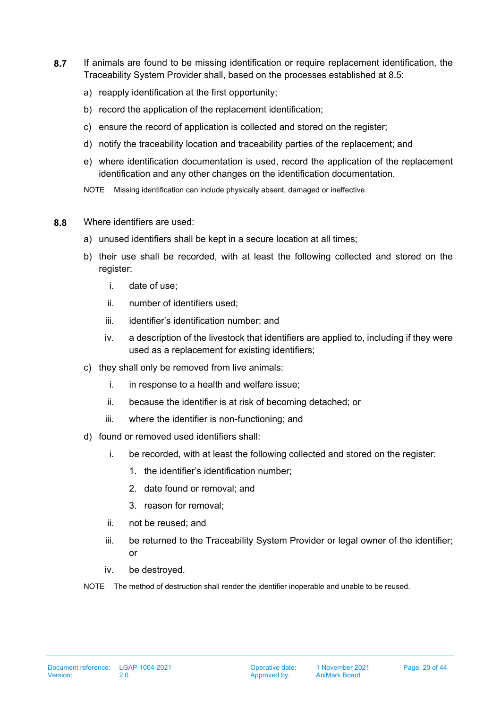- **8.7** If animals are found to be missing identification or require replacement identification, the Traceability System Provider shall, based on the processes established at 8.5:
	- a) reapply identification at the first opportunity;
	- b) record the application of the replacement identification;
	- c) ensure the record of application is collected and stored on the register;
	- d) notify the traceability location and traceability parties of the replacement; and
	- e) where identification documentation is used, record the application of the replacement identification and any other changes on the identification documentation.
	- NOTE Missing identification can include physically absent, damaged or ineffective.
- **8.8** Where identifiers are used:
	- a) unused identifiers shall be kept in a secure location at all times;
	- b) their use shall be recorded, with at least the following collected and stored on the register:
		- i. date of use;
		- ii. number of identifiers used;
		- iii. identifier's identification number; and
		- iv. a description of the livestock that identifiers are applied to, including if they were used as a replacement for existing identifiers;
	- c) they shall only be removed from live animals:
		- i. in response to a health and welfare issue;
		- ii. because the identifier is at risk of becoming detached; or
		- iii. where the identifier is non-functioning; and
	- d) found or removed used identifiers shall:
		- i. be recorded, with at least the following collected and stored on the register:
			- 1. the identifier's identification number;
			- 2. date found or removal; and
			- 3. reason for removal;
		- ii. not be reused; and
		- iii. be returned to the Traceability System Provider or legal owner of the identifier; or
		- iv. be destroyed.
	- NOTE The method of destruction shall render the identifier inoperable and unable to be reused.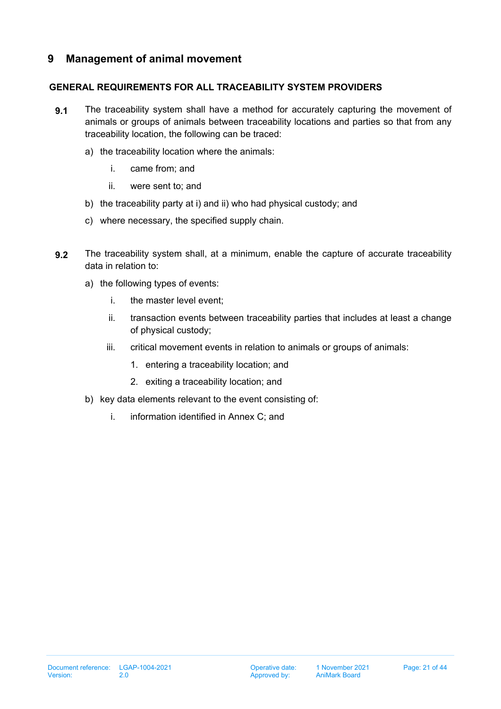## <span id="page-20-0"></span>**9 Management of animal movement**

## **GENERAL REQUIREMENTS FOR ALL TRACEABILITY SYSTEM PROVIDERS**

- **9.1** The traceability system shall have a method for accurately capturing the movement of animals or groups of animals between traceability locations and parties so that from any traceability location, the following can be traced:
	- a) the traceability location where the animals:
		- i. came from; and
		- ii. were sent to; and
	- b) the traceability party at i) and ii) who had physical custody; and
	- c) where necessary, the specified supply chain.
- <span id="page-20-1"></span>**9.2** The traceability system shall, at a minimum, enable the capture of accurate traceability data in relation to:
	- a) the following types of events:
		- i. the master level event;
		- ii. transaction events between traceability parties that includes at least a change of physical custody;
		- iii. critical movement events in relation to animals or groups of animals:
			- 1. entering a traceability location; and
			- 2. exiting a traceability location; and
	- b) key data elements relevant to the event consisting of:
		- i. information identified in Annex C; and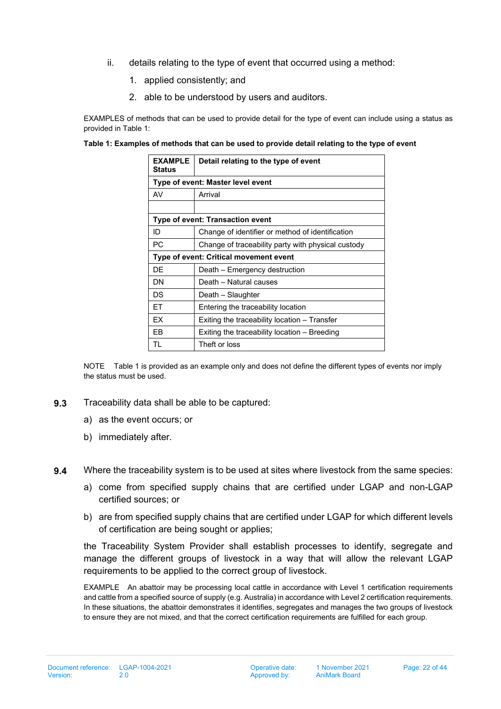- ii. details relating to the type of event that occurred using a method:
	- 1. applied consistently; and
	- 2. able to be understood by users and auditors.

EXAMPLES of methods that can be used to provide detail for the type of event can include using a status as provided in Table 1:

#### **Table 1: Examples of methods that can be used to provide detail relating to the type of event**

| <b>EXAMPLE</b><br>Status                                 | Detail relating to the type of event             |  |  |  |  |  |  |
|----------------------------------------------------------|--------------------------------------------------|--|--|--|--|--|--|
|                                                          | Type of event: Master level event                |  |  |  |  |  |  |
| AV                                                       | Arrival                                          |  |  |  |  |  |  |
|                                                          |                                                  |  |  |  |  |  |  |
|                                                          | Type of event: Transaction event                 |  |  |  |  |  |  |
| ID                                                       | Change of identifier or method of identification |  |  |  |  |  |  |
| PC<br>Change of traceability party with physical custody |                                                  |  |  |  |  |  |  |
|                                                          | Type of event: Critical movement event           |  |  |  |  |  |  |
| DE                                                       | Death – Emergency destruction                    |  |  |  |  |  |  |
| DN                                                       | Death - Natural causes                           |  |  |  |  |  |  |
| DS                                                       | Death – Slaughter                                |  |  |  |  |  |  |
| FT.                                                      | Entering the traceability location               |  |  |  |  |  |  |
| EX                                                       | Exiting the traceability location – Transfer     |  |  |  |  |  |  |
| EВ                                                       | Exiting the traceability location – Breeding     |  |  |  |  |  |  |
| TI                                                       | Theft or loss                                    |  |  |  |  |  |  |

NOTE Table 1 is provided as an example only and does not define the different types of events nor imply the status must be used.

- <span id="page-21-0"></span>**9.3** Traceability data shall be able to be captured:
	- a) as the event occurs; or
	- b) immediately after.

<span id="page-21-1"></span>**9.4** Where the traceability system is to be used at sites where livestock from the same species:

- a) come from specified supply chains that are certified under LGAP and non-LGAP certified sources; or
- b) are from specified supply chains that are certified under LGAP for which different levels of certification are being sought or applies;

the Traceability System Provider shall establish processes to identify, segregate and manage the different groups of livestock in a way that will allow the relevant LGAP requirements to be applied to the correct group of livestock.

EXAMPLE An abattoir may be processing local cattle in accordance with Level 1 certification requirements and cattle from a specified source of supply (e.g. Australia) in accordance with Level 2 certification requirements. In these situations, the abattoir demonstrates it identifies, segregates and manages the two groups of livestock to ensure they are not mixed, and that the correct certification requirements are fulfilled for each group.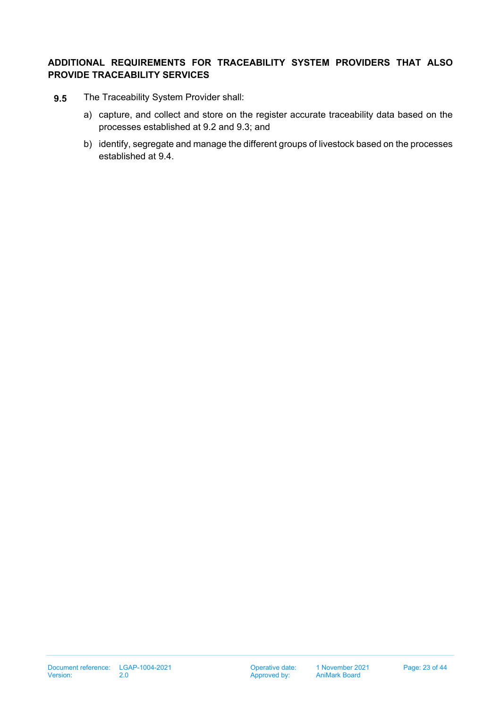## **ADDITIONAL REQUIREMENTS FOR TRACEABILITY SYSTEM PROVIDERS THAT ALSO PROVIDE TRACEABILITY SERVICES**

- **9.5** The Traceability System Provider shall:
	- a) capture, and collect and store on the register accurate traceability data based on the processes established at [9.2](#page-20-1) and [9.3;](#page-21-0) and
	- b) identify, segregate and manage the different groups of livestock based on the processes established at [9.4.](#page-21-1)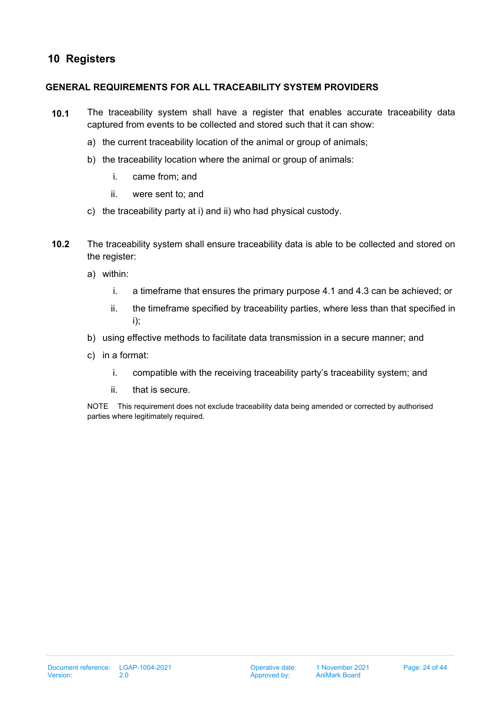# <span id="page-23-0"></span>**10 Registers**

## **GENERAL REQUIREMENTS FOR ALL TRACEABILITY SYSTEM PROVIDERS**

- **10.1** The traceability system shall have a register that enables accurate traceability data captured from events to be collected and stored such that it can show:
	- a) the current traceability location of the animal or group of animals;
	- b) the traceability location where the animal or group of animals:
		- i. came from; and
		- ii. were sent to; and
	- c) the traceability party at i) and ii) who had physical custody.
- <span id="page-23-1"></span>**10.2** The traceability system shall ensure traceability data is able to be collected and stored on the register:
	- a) within:
		- i. a timeframe that ensures the primary purpose [4.1](#page-8-1) and [4.3](#page-9-0) can be achieved; or
		- ii. the timeframe specified by traceability parties, where less than that specified in i);
	- b) using effective methods to facilitate data transmission in a secure manner; and
	- c) in a format:
		- i. compatible with the receiving traceability party's traceability system; and
		- ii. that is secure.

NOTE This requirement does not exclude traceability data being amended or corrected by authorised parties where legitimately required.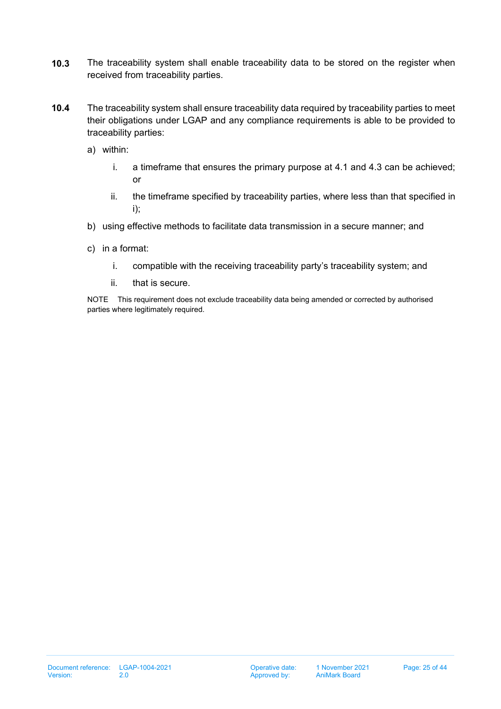- **10.3** The traceability system shall enable traceability data to be stored on the register when received from traceability parties.
- <span id="page-24-0"></span>**10.4** The traceability system shall ensure traceability data required by traceability parties to meet their obligations under LGAP and any compliance requirements is able to be provided to traceability parties:
	- a) within:
		- i. a timeframe that ensures the primary purpose at [4.1](#page-8-1) and [4.3](#page-9-0) can be achieved; or
		- ii. the timeframe specified by traceability parties, where less than that specified in i);
	- b) using effective methods to facilitate data transmission in a secure manner; and
	- c) in a format:
		- i. compatible with the receiving traceability party's traceability system; and
		- ii. that is secure.

NOTE This requirement does not exclude traceability data being amended or corrected by authorised parties where legitimately required.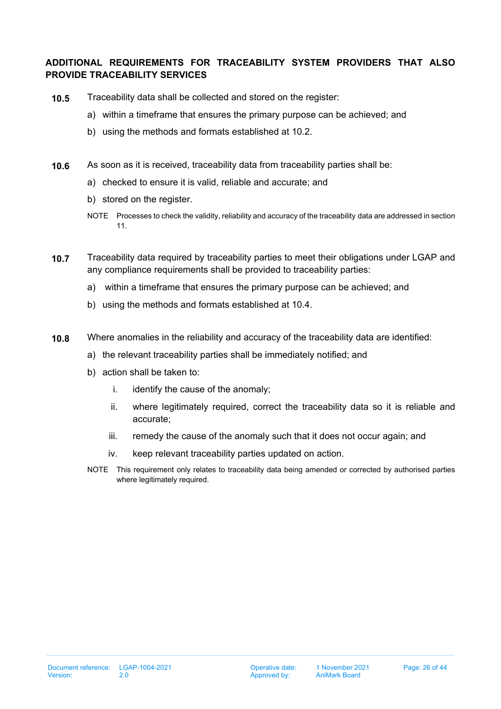## **ADDITIONAL REQUIREMENTS FOR TRACEABILITY SYSTEM PROVIDERS THAT ALSO PROVIDE TRACEABILITY SERVICES**

- **10.5** Traceability data shall be collected and stored on the register:
	- a) within a timeframe that ensures the primary purpose can be achieved; and
	- b) using the methods and formats established at [10.2.](#page-23-1)
- **10.6** As soon as it is received, traceability data from traceability parties shall be:
	- a) checked to ensure it is valid, reliable and accurate; and
	- b) stored on the register.
	- NOTE Processes to check the validity, reliability and accuracy of the traceability data are addressed in section [11.](#page-26-0)
- **10.7** Traceability data required by traceability parties to meet their obligations under LGAP and any compliance requirements shall be provided to traceability parties:
	- a) within a timeframe that ensures the primary purpose can be achieved; and
	- b) using the methods and formats established at [10.4.](#page-24-0)
- **10.8** Where anomalies in the reliability and accuracy of the traceability data are identified:
	- a) the relevant traceability parties shall be immediately notified; and
	- b) action shall be taken to:
		- i. identify the cause of the anomaly;
		- ii. where legitimately required, correct the traceability data so it is reliable and accurate;
		- iii. remedy the cause of the anomaly such that it does not occur again; and
		- iv. keep relevant traceability parties updated on action.
	- NOTE This requirement only relates to traceability data being amended or corrected by authorised parties where legitimately required.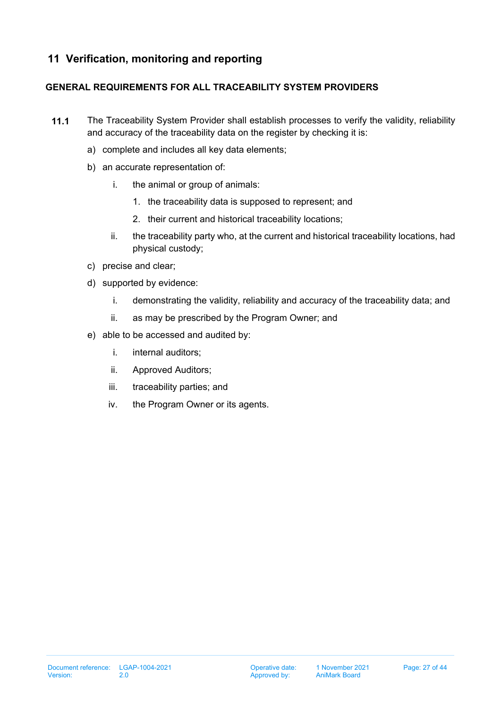# <span id="page-26-0"></span>**11 Verification, monitoring and reporting**

## **GENERAL REQUIREMENTS FOR ALL TRACEABILITY SYSTEM PROVIDERS**

- <span id="page-26-1"></span>**11.1** The Traceability System Provider shall establish processes to verify the validity, reliability and accuracy of the traceability data on the register by checking it is:
	- a) complete and includes all key data elements;
	- b) an accurate representation of:
		- i. the animal or group of animals:
			- 1. the traceability data is supposed to represent; and
			- 2. their current and historical traceability locations;
		- ii. the traceability party who, at the current and historical traceability locations, had physical custody;
	- c) precise and clear;
	- d) supported by evidence:
		- i. demonstrating the validity, reliability and accuracy of the traceability data; and
		- ii. as may be prescribed by the Program Owner; and
	- e) able to be accessed and audited by:
		- i. internal auditors;
		- ii. Approved Auditors;
		- iii. traceability parties; and
		- iv. the Program Owner or its agents.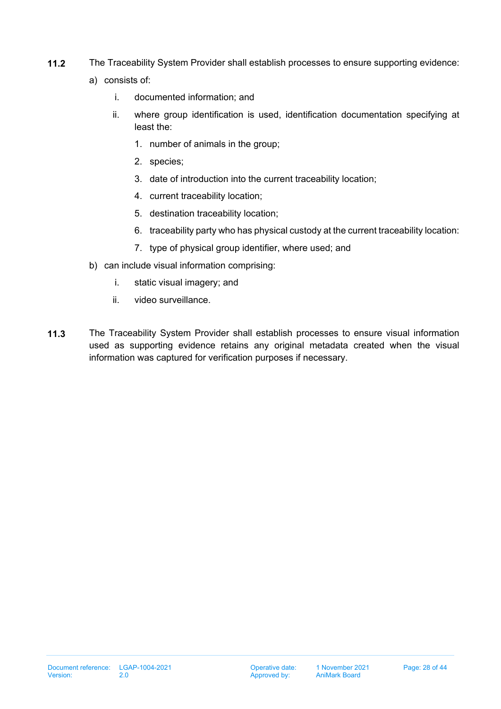- <span id="page-27-0"></span>**11.2** The Traceability System Provider shall establish processes to ensure supporting evidence:
	- a) consists of:
		- i. documented information; and
		- ii. where group identification is used, identification documentation specifying at least the:
			- 1. number of animals in the group;
			- 2. species;
			- 3. date of introduction into the current traceability location;
			- 4. current traceability location;
			- 5. destination traceability location;
			- 6. traceability party who has physical custody at the current traceability location:
			- 7. type of physical group identifier, where used; and
	- b) can include visual information comprising:
		- i. static visual imagery; and
		- ii. video surveillance.
- <span id="page-27-1"></span>**11.3** The Traceability System Provider shall establish processes to ensure visual information used as supporting evidence retains any original metadata created when the visual information was captured for verification purposes if necessary.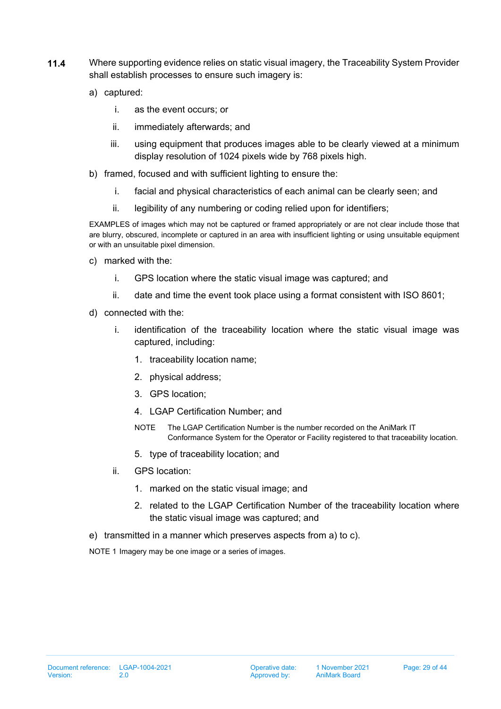- <span id="page-28-0"></span>**11.4** Where supporting evidence relies on static visual imagery, the Traceability System Provider shall establish processes to ensure such imagery is:
	- a) captured:
		- i. as the event occurs; or
		- ii. immediately afterwards; and
		- iii. using equipment that produces images able to be clearly viewed at a minimum display resolution of 1024 pixels wide by 768 pixels high.
	- b) framed, focused and with sufficient lighting to ensure the:
		- i. facial and physical characteristics of each animal can be clearly seen; and
		- ii. legibility of any numbering or coding relied upon for identifiers;

EXAMPLES of images which may not be captured or framed appropriately or are not clear include those that are blurry, obscured, incomplete or captured in an area with insufficient lighting or using unsuitable equipment or with an unsuitable pixel dimension.

- c) marked with the:
	- i. GPS location where the static visual image was captured; and
	- ii. date and time the event took place using a format consistent with ISO 8601;
- d) connected with the:
	- i. identification of the traceability location where the static visual image was captured, including:
		- 1. traceability location name;
		- 2. physical address;
		- 3. GPS location;
		- 4. LGAP Certification Number; and
		- NOTE The LGAP Certification Number is the number recorded on the AniMark IT Conformance System for the Operator or Facility registered to that traceability location.
		- 5. type of traceability location; and
	- ii. GPS location:
		- 1. marked on the static visual image; and
		- 2. related to the LGAP Certification Number of the traceability location where the static visual image was captured; and
- e) transmitted in a manner which preserves aspects from a) to c).

NOTE 1 Imagery may be one image or a series of images.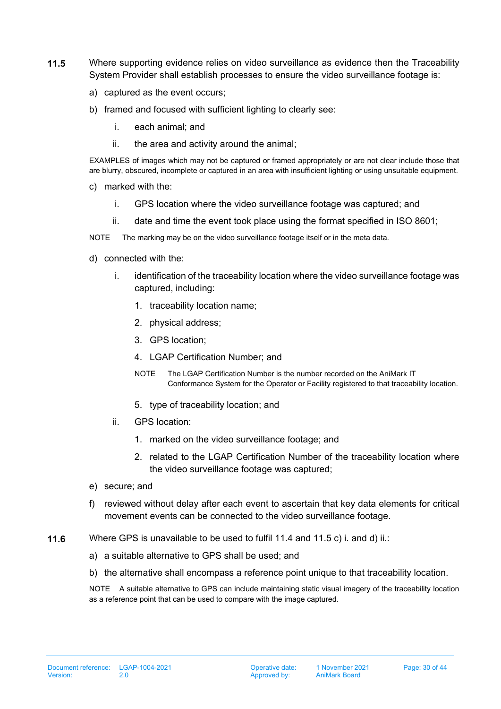- <span id="page-29-0"></span>**11.5** Where supporting evidence relies on video surveillance as evidence then the Traceability System Provider shall establish processes to ensure the video surveillance footage is:
	- a) captured as the event occurs;
	- b) framed and focused with sufficient lighting to clearly see:
		- i. each animal; and
		- ii. the area and activity around the animal;

EXAMPLES of images which may not be captured or framed appropriately or are not clear include those that are blurry, obscured, incomplete or captured in an area with insufficient lighting or using unsuitable equipment.

- c) marked with the:
	- i. GPS location where the video surveillance footage was captured; and
	- ii. date and time the event took place using the format specified in ISO 8601;
- NOTE The marking may be on the video surveillance footage itself or in the meta data.
- d) connected with the:
	- i. identification of the traceability location where the video surveillance footage was captured, including:
		- 1. traceability location name;
		- 2. physical address;
		- 3. GPS location;
		- 4. LGAP Certification Number; and
		- NOTE The LGAP Certification Number is the number recorded on the AniMark IT Conformance System for the Operator or Facility registered to that traceability location.
		- 5. type of traceability location; and
	- ii. GPS location:
		- 1. marked on the video surveillance footage; and
		- 2. related to the LGAP Certification Number of the traceability location where the video surveillance footage was captured;
- e) secure; and
- f) reviewed without delay after each event to ascertain that key data elements for critical movement events can be connected to the video surveillance footage.
- **11.6** Where GPS is unavailable to be used to fulfil 11.4 and 11.5 c) i. and d) ii.:
	- a) a suitable alternative to GPS shall be used; and
	- b) the alternative shall encompass a reference point unique to that traceability location.

NOTE A suitable alternative to GPS can include maintaining static visual imagery of the traceability location as a reference point that can be used to compare with the image captured.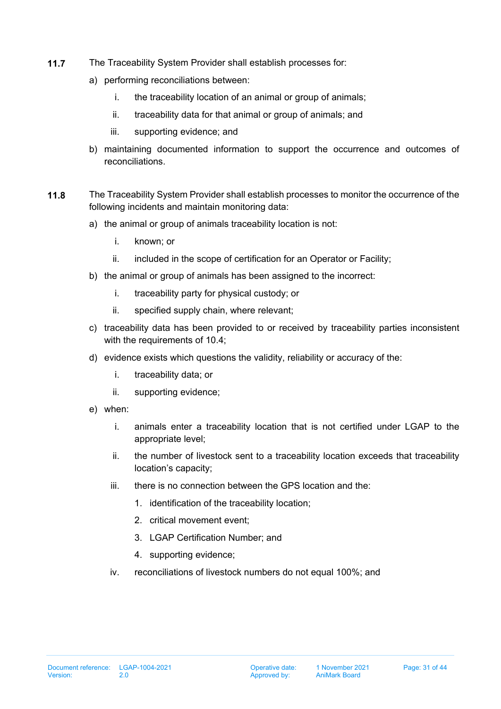- <span id="page-30-0"></span>**11.7** The Traceability System Provider shall establish processes for:
	- a) performing reconciliations between:
		- i. the traceability location of an animal or group of animals;
		- ii. traceability data for that animal or group of animals; and
		- iii. supporting evidence; and
	- b) maintaining documented information to support the occurrence and outcomes of reconciliations.
- <span id="page-30-1"></span>**11.8** The Traceability System Provider shall establish processes to monitor the occurrence of the following incidents and maintain monitoring data:
	- a) the animal or group of animals traceability location is not:
		- i. known; or
		- ii. included in the scope of certification for an Operator or Facility;
	- b) the animal or group of animals has been assigned to the incorrect:
		- i. traceability party for physical custody; or
		- ii. specified supply chain, where relevant;
	- c) traceability data has been provided to or received by traceability parties inconsistent with the requirements of [10.4;](#page-24-0)
	- d) evidence exists which questions the validity, reliability or accuracy of the:
		- i. traceability data; or
		- ii. supporting evidence;
	- e) when:
		- i. animals enter a traceability location that is not certified under LGAP to the appropriate level;
		- ii. the number of livestock sent to a traceability location exceeds that traceability location's capacity;
		- iii. there is no connection between the GPS location and the:
			- 1. identification of the traceability location;
			- 2. critical movement event;
			- 3. LGAP Certification Number; and
			- 4. supporting evidence;
		- iv. reconciliations of livestock numbers do not equal 100%; and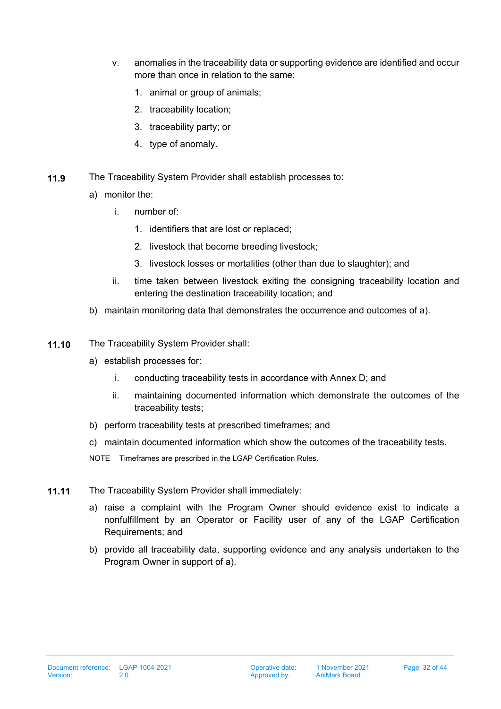- v. anomalies in the traceability data or supporting evidence are identified and occur more than once in relation to the same:
	- 1. animal or group of animals;
	- 2. traceability location;
	- 3. traceability party; or
	- 4. type of anomaly.
- <span id="page-31-0"></span>**11.9** The Traceability System Provider shall establish processes to:
	- a) monitor the:
		- i. number of:
			- 1. identifiers that are lost or replaced;
			- 2. livestock that become breeding livestock;
			- 3. livestock losses or mortalities (other than due to slaughter); and
		- ii. time taken between livestock exiting the consigning traceability location and entering the destination traceability location; and
	- b) maintain monitoring data that demonstrates the occurrence and outcomes of a).
- <span id="page-31-1"></span>**11.10** The Traceability System Provider shall:
	- a) establish processes for:
		- i. conducting traceability tests in accordance with Annex D; and
		- ii. maintaining documented information which demonstrate the outcomes of the traceability tests;
	- b) perform traceability tests at prescribed timeframes; and
	- c) maintain documented information which show the outcomes of the traceability tests.
	- NOTE Timeframes are prescribed in the LGAP Certification Rules.
- **11.11** The Traceability System Provider shall immediately:
	- a) raise a complaint with the Program Owner should evidence exist to indicate a nonfulfillment by an Operator or Facility user of any of the LGAP Certification Requirements; and
	- b) provide all traceability data, supporting evidence and any analysis undertaken to the Program Owner in support of a).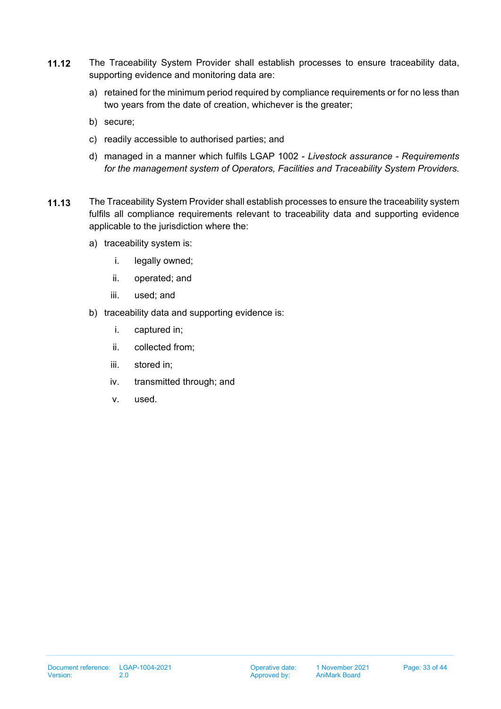- <span id="page-32-0"></span>**11.12** The Traceability System Provider shall establish processes to ensure traceability data, supporting evidence and monitoring data are:
	- a) retained for the minimum period required by compliance requirements or for no less than two years from the date of creation, whichever is the greater;
	- b) secure;
	- c) readily accessible to authorised parties; and
	- d) managed in a manner which fulfils LGAP 1002 *Livestock assurance Requirements for the management system of Operators, Facilities and Traceability System Providers.*
- **11.13** The Traceability System Provider shall establish processes to ensure the traceability system fulfils all compliance requirements relevant to traceability data and supporting evidence applicable to the jurisdiction where the:
	- a) traceability system is:
		- i. legally owned;
		- ii. operated; and
		- iii. used; and
	- b) traceability data and supporting evidence is:
		- i. captured in;
		- ii. collected from;
		- iii. stored in;
		- iv. transmitted through; and
		- v. used.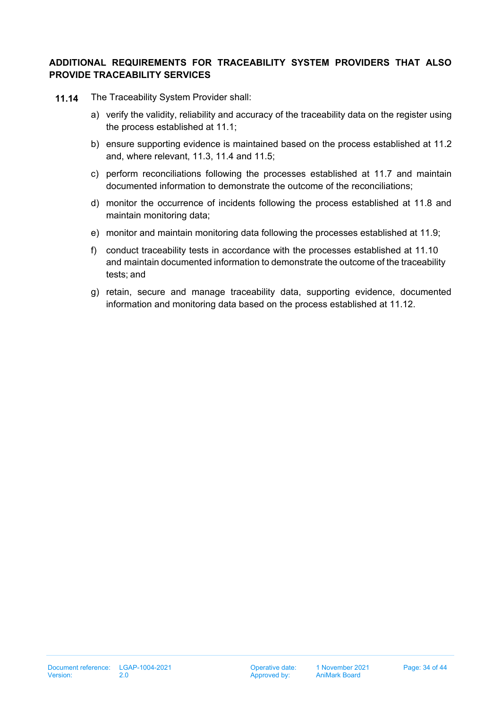## **ADDITIONAL REQUIREMENTS FOR TRACEABILITY SYSTEM PROVIDERS THAT ALSO PROVIDE TRACEABILITY SERVICES**

- **11.14** The Traceability System Provider shall:
	- a) verify the validity, reliability and accuracy of the traceability data on the register using the process established at [11.1;](#page-26-1)
	- b) ensure supporting evidence is maintained based on the process established at [11.2](#page-27-0) and, where relevant, [11.3,](#page-27-1) [11.4](#page-28-0) and [11.5;](#page-29-0)
	- c) perform reconciliations following the processes established a[t 11.](#page-30-0)7 and maintain documented information to demonstrate the outcome of the reconciliations;
	- d) monitor the occurrence of incidents following the process established at [11.](#page-30-1)8 and maintain monitoring data;
	- e) monitor and maintain monitoring data following the processes established at [11.](#page-31-0)9;
	- f) conduct traceability tests in accordance with the processes established at [11.](#page-31-1)10 and maintain documented information to demonstrate the outcome of the traceability tests; and
	- g) retain, secure and manage traceability data, supporting evidence, documented information and monitoring data based on the process established at [11.1](#page-32-0)2.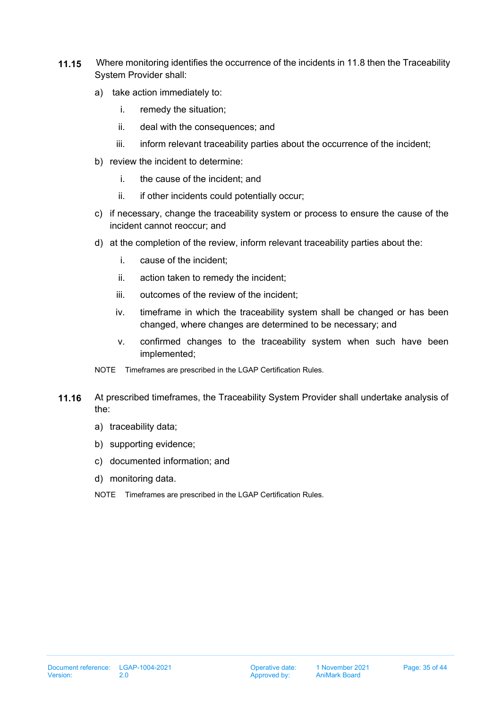- **11.15** Where monitoring identifies the occurrence of the incidents i[n 11](#page-30-1).8 then the Traceability System Provider shall:
	- a) take action immediately to:
		- i. remedy the situation;
		- ii. deal with the consequences; and
		- iii. inform relevant traceability parties about the occurrence of the incident;
	- b) review the incident to determine:
		- i. the cause of the incident; and
		- ii. if other incidents could potentially occur;
	- c) if necessary, change the traceability system or process to ensure the cause of the incident cannot reoccur; and
	- d) at the completion of the review, inform relevant traceability parties about the:
		- i. cause of the incident;
		- ii. action taken to remedy the incident;
		- iii. outcomes of the review of the incident;
		- iv. timeframe in which the traceability system shall be changed or has been changed, where changes are determined to be necessary; and
		- v. confirmed changes to the traceability system when such have been implemented;
	- NOTE Timeframes are prescribed in the LGAP Certification Rules.
- <span id="page-34-0"></span>**11.16** At prescribed timeframes, the Traceability System Provider shall undertake analysis of the:
	- a) traceability data;
	- b) supporting evidence;
	- c) documented information; and
	- d) monitoring data.
	- NOTE Timeframes are prescribed in the LGAP Certification Rules.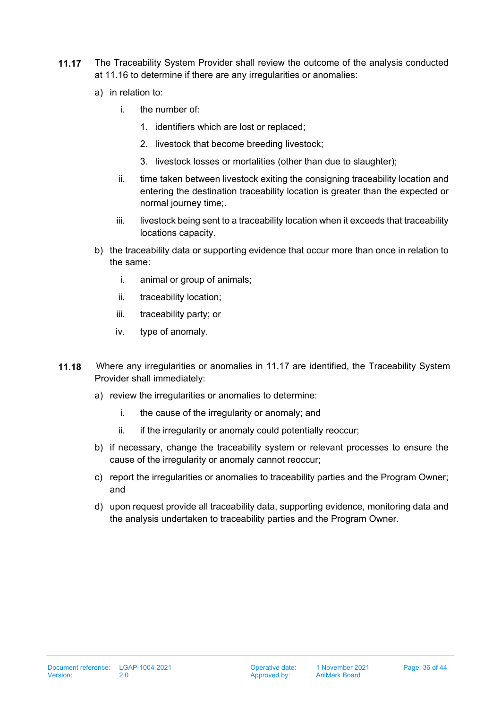- <span id="page-35-0"></span>**11.17** The Traceability System Provider shall review the outcome of the analysis conducted at [11.1](#page-34-0)6 to determine if there are any irregularities or anomalies:
	- a) in relation to:
		- i. the number of:
			- 1. identifiers which are lost or replaced;
			- 2. livestock that become breeding livestock;
			- 3. livestock losses or mortalities (other than due to slaughter);
		- ii. time taken between livestock exiting the consigning traceability location and entering the destination traceability location is greater than the expected or normal journey time;.
		- iii. livestock being sent to a traceability location when it exceeds that traceability locations capacity.
	- b) the traceability data or supporting evidence that occur more than once in relation to the same:
		- i. animal or group of animals;
		- ii. traceability location;
		- iii. traceability party; or
		- iv. type of anomaly.
- **11.18** Where any irregularities or anomalies in [11.1](#page-35-0)7 are identified, the Traceability System Provider shall immediately:
	- a) review the irregularities or anomalies to determine:
		- i. the cause of the irregularity or anomaly; and
		- ii. if the irregularity or anomaly could potentially reoccur;
	- b) if necessary, change the traceability system or relevant processes to ensure the cause of the irregularity or anomaly cannot reoccur;
	- c) report the irregularities or anomalies to traceability parties and the Program Owner; and
	- d) upon request provide all traceability data, supporting evidence, monitoring data and the analysis undertaken to traceability parties and the Program Owner.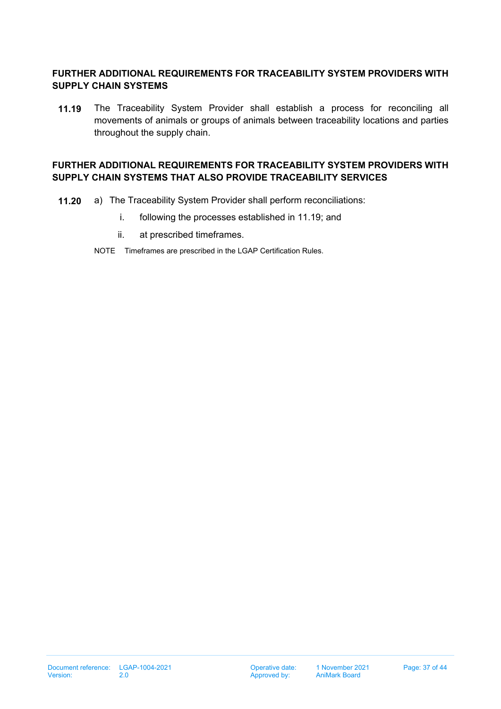## **FURTHER ADDITIONAL REQUIREMENTS FOR TRACEABILITY SYSTEM PROVIDERS WITH SUPPLY CHAIN SYSTEMS**

<span id="page-36-0"></span>**11.19** The Traceability System Provider shall establish a process for reconciling all movements of animals or groups of animals between traceability locations and parties throughout the supply chain.

## **FURTHER ADDITIONAL REQUIREMENTS FOR TRACEABILITY SYSTEM PROVIDERS WITH SUPPLY CHAIN SYSTEMS THAT ALSO PROVIDE TRACEABILITY SERVICES**

- **11.20** a) The Traceability System Provider shall perform reconciliations:
	- i. following the processes established in [11.1](#page-36-0)9; and
	- ii. at prescribed timeframes.
	- NOTE Timeframes are prescribed in the LGAP Certification Rules.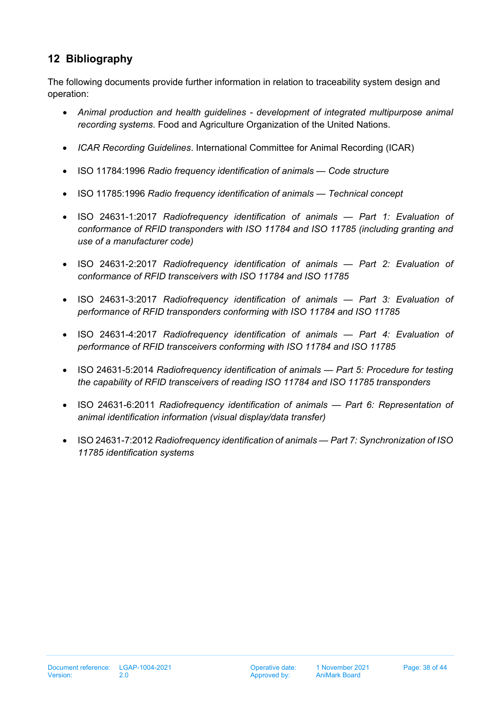# <span id="page-37-0"></span>**12 Bibliography**

The following documents provide further information in relation to traceability system design and operation:

- *Animal production and health guidelines development of integrated multipurpose animal recording systems*. Food and Agriculture Organization of the United Nations.
- *ICAR Recording Guidelines*. International Committee for Animal Recording (ICAR)
- ISO 11784:1996 *Radio frequency identification of animals Code structure*
- ISO 11785:1996 *Radio frequency identification of animals Technical concept*
- ISO 24631-1:2017 *Radiofrequency identification of animals Part 1: Evaluation of conformance of RFID transponders with ISO 11784 and ISO 11785 (including granting and use of a manufacturer code)*
- ISO 24631-2:2017 *Radiofrequency identification of animals Part 2: Evaluation of conformance of RFID transceivers with ISO 11784 and ISO 11785*
- ISO 24631-3:2017 *Radiofrequency identification of animals Part 3: Evaluation of performance of RFID transponders conforming with ISO 11784 and ISO 11785*
- ISO 24631-4:2017 *Radiofrequency identification of animals Part 4: Evaluation of performance of RFID transceivers conforming with ISO 11784 and ISO 11785*
- ISO 24631-5:2014 *Radiofrequency identification of animals Part 5: Procedure for testing the capability of RFID transceivers of reading ISO 11784 and ISO 11785 transponders*
- ISO 24631-6:2011 *Radiofrequency identification of animals Part 6: Representation of animal identification information (visual display/data transfer)*
- ISO 24631-7:2012 *Radiofrequency identification of animals Part 7: Synchronization of ISO 11785 identification systems*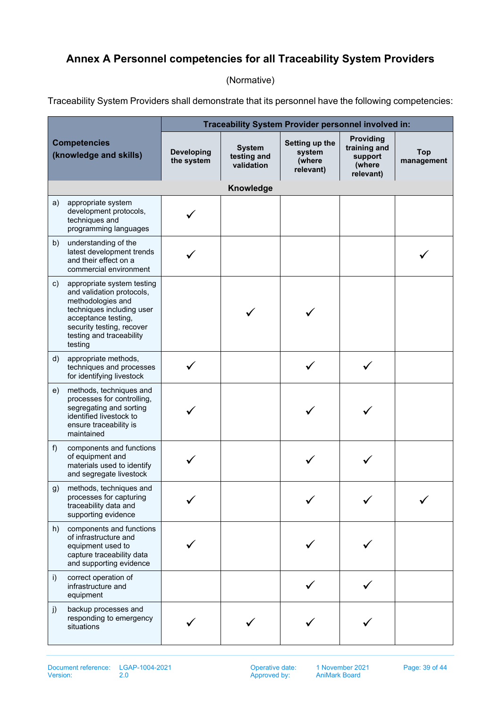# <span id="page-38-0"></span>**Annex A Personnel competencies for all Traceability System Providers**

(Normative)

Traceability System Providers shall demonstrate that its personnel have the following competencies:

| <b>Competencies</b><br>(knowledge and skills) |                                                                                                                                                                                                      | Traceability System Provider personnel involved in: |                                            |                                                 |                                                             |                          |  |
|-----------------------------------------------|------------------------------------------------------------------------------------------------------------------------------------------------------------------------------------------------------|-----------------------------------------------------|--------------------------------------------|-------------------------------------------------|-------------------------------------------------------------|--------------------------|--|
|                                               |                                                                                                                                                                                                      | <b>Developing</b><br>the system                     | <b>System</b><br>testing and<br>validation | Setting up the<br>system<br>(where<br>relevant) | Providing<br>training and<br>support<br>(where<br>relevant) | <b>Top</b><br>management |  |
|                                               |                                                                                                                                                                                                      |                                                     | Knowledge                                  |                                                 |                                                             |                          |  |
| a)                                            | appropriate system<br>development protocols,<br>techniques and<br>programming languages                                                                                                              |                                                     |                                            |                                                 |                                                             |                          |  |
| b)                                            | understanding of the<br>latest development trends<br>and their effect on a<br>commercial environment                                                                                                 |                                                     |                                            |                                                 |                                                             |                          |  |
| c)                                            | appropriate system testing<br>and validation protocols,<br>methodologies and<br>techniques including user<br>acceptance testing,<br>security testing, recover<br>testing and traceability<br>testing |                                                     |                                            |                                                 |                                                             |                          |  |
| $\mathsf{d}$                                  | appropriate methods,<br>techniques and processes<br>for identifying livestock                                                                                                                        |                                                     |                                            |                                                 |                                                             |                          |  |
| e)                                            | methods, techniques and<br>processes for controlling,<br>segregating and sorting<br>identified livestock to<br>ensure traceability is<br>maintained                                                  |                                                     |                                            |                                                 |                                                             |                          |  |
| f)                                            | components and functions<br>of equipment and<br>materials used to identify<br>and segregate livestock                                                                                                |                                                     |                                            |                                                 |                                                             |                          |  |
| g)                                            | methods, techniques and<br>processes for capturing<br>traceability data and<br>supporting evidence                                                                                                   |                                                     |                                            |                                                 |                                                             |                          |  |
| h)                                            | components and functions<br>of infrastructure and<br>equipment used to<br>capture traceability data<br>and supporting evidence                                                                       |                                                     |                                            |                                                 |                                                             |                          |  |
| i)                                            | correct operation of<br>infrastructure and<br>equipment                                                                                                                                              |                                                     |                                            |                                                 |                                                             |                          |  |
| j)                                            | backup processes and<br>responding to emergency<br>situations                                                                                                                                        |                                                     |                                            |                                                 |                                                             |                          |  |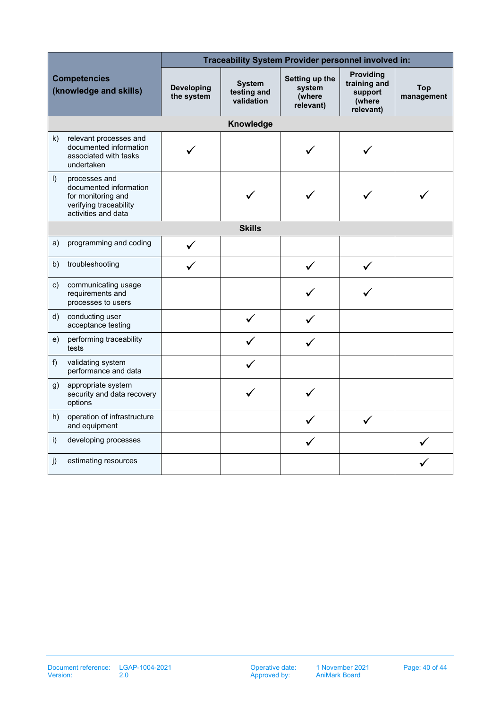| <b>Competencies</b><br>(knowledge and skills) |                                                                                                                | Traceability System Provider personnel involved in: |                                            |                                                 |                                                             |                          |
|-----------------------------------------------|----------------------------------------------------------------------------------------------------------------|-----------------------------------------------------|--------------------------------------------|-------------------------------------------------|-------------------------------------------------------------|--------------------------|
|                                               |                                                                                                                | <b>Developing</b><br>the system                     | <b>System</b><br>testing and<br>validation | Setting up the<br>system<br>(where<br>relevant) | Providing<br>training and<br>support<br>(where<br>relevant) | <b>Top</b><br>management |
|                                               |                                                                                                                |                                                     | Knowledge                                  |                                                 |                                                             |                          |
| k)                                            | relevant processes and<br>documented information<br>associated with tasks<br>undertaken                        |                                                     |                                            |                                                 |                                                             |                          |
| $\vert$ )                                     | processes and<br>documented information<br>for monitoring and<br>verifying traceability<br>activities and data |                                                     |                                            |                                                 |                                                             |                          |
|                                               |                                                                                                                |                                                     | <b>Skills</b>                              |                                                 |                                                             |                          |
| a)                                            | programming and coding                                                                                         |                                                     |                                            |                                                 |                                                             |                          |
| b)                                            | troubleshooting                                                                                                |                                                     |                                            | $\checkmark$                                    |                                                             |                          |
| C)                                            | communicating usage<br>requirements and<br>processes to users                                                  |                                                     |                                            |                                                 |                                                             |                          |
| d)                                            | conducting user<br>acceptance testing                                                                          |                                                     |                                            |                                                 |                                                             |                          |
| e)                                            | performing traceability<br>tests                                                                               |                                                     |                                            |                                                 |                                                             |                          |
| f)                                            | validating system<br>performance and data                                                                      |                                                     |                                            |                                                 |                                                             |                          |
| g)                                            | appropriate system<br>security and data recovery<br>options                                                    |                                                     |                                            |                                                 |                                                             |                          |
| h)                                            | operation of infrastructure<br>and equipment                                                                   |                                                     |                                            |                                                 |                                                             |                          |
| i)                                            | developing processes                                                                                           |                                                     |                                            |                                                 |                                                             |                          |
| j)                                            | estimating resources                                                                                           |                                                     |                                            |                                                 |                                                             |                          |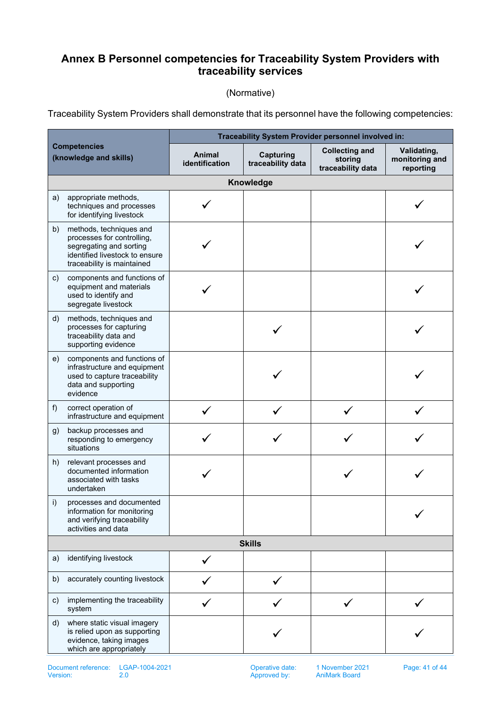# <span id="page-40-0"></span>**Annex B Personnel competencies for Traceability System Providers with traceability services**

### (Normative)

Traceability System Providers shall demonstrate that its personnel have the following competencies:

|              |                                                                                                                                                  | Traceability System Provider personnel involved in: |                                       |                                                       |                                            |  |  |  |
|--------------|--------------------------------------------------------------------------------------------------------------------------------------------------|-----------------------------------------------------|---------------------------------------|-------------------------------------------------------|--------------------------------------------|--|--|--|
|              | <b>Competencies</b><br>(knowledge and skills)                                                                                                    | Animal<br>identification                            | <b>Capturing</b><br>traceability data | <b>Collecting and</b><br>storing<br>traceability data | Validating,<br>monitoring and<br>reporting |  |  |  |
|              | Knowledge                                                                                                                                        |                                                     |                                       |                                                       |                                            |  |  |  |
| a)           | appropriate methods,<br>techniques and processes<br>for identifying livestock                                                                    |                                                     |                                       |                                                       |                                            |  |  |  |
| b)           | methods, techniques and<br>processes for controlling,<br>segregating and sorting<br>identified livestock to ensure<br>traceability is maintained |                                                     |                                       |                                                       |                                            |  |  |  |
| $\mathsf{c}$ | components and functions of<br>equipment and materials<br>used to identify and<br>segregate livestock                                            |                                                     |                                       |                                                       |                                            |  |  |  |
| d)           | methods, techniques and<br>processes for capturing<br>traceability data and<br>supporting evidence                                               |                                                     |                                       |                                                       |                                            |  |  |  |
| e)           | components and functions of<br>infrastructure and equipment<br>used to capture traceability<br>data and supporting<br>evidence                   |                                                     |                                       |                                                       |                                            |  |  |  |
| f)           | correct operation of<br>infrastructure and equipment                                                                                             |                                                     |                                       |                                                       |                                            |  |  |  |
| g)           | backup processes and<br>responding to emergency<br>situations                                                                                    |                                                     |                                       |                                                       |                                            |  |  |  |
| h)           | relevant processes and<br>documented information<br>associated with tasks<br>undertaken                                                          |                                                     |                                       |                                                       |                                            |  |  |  |
| i)           | processes and documented<br>information for monitoring<br>and verifying traceability<br>activities and data                                      |                                                     |                                       |                                                       |                                            |  |  |  |
|              | <b>Skills</b>                                                                                                                                    |                                                     |                                       |                                                       |                                            |  |  |  |
| a)           | identifying livestock                                                                                                                            |                                                     |                                       |                                                       |                                            |  |  |  |
| b)           | accurately counting livestock                                                                                                                    |                                                     |                                       |                                                       |                                            |  |  |  |
| C)           | implementing the traceability<br>system                                                                                                          |                                                     |                                       |                                                       |                                            |  |  |  |
| d)           | where static visual imagery<br>is relied upon as supporting<br>evidence, taking images<br>which are appropriately                                |                                                     |                                       |                                                       |                                            |  |  |  |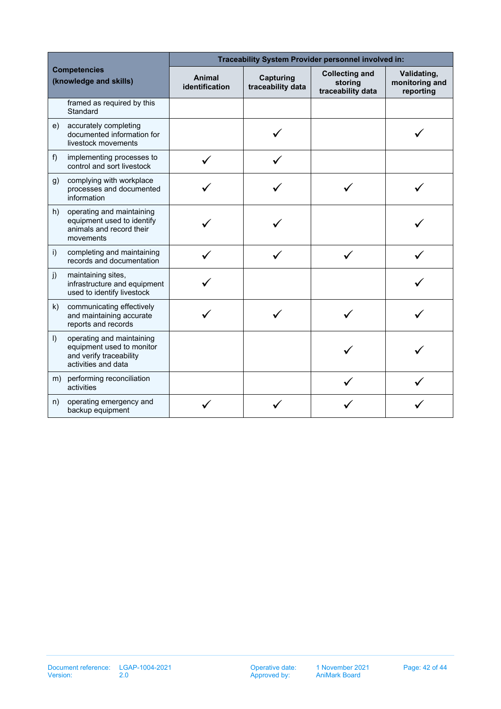| <b>Competencies</b><br>(knowledge and skills) |                                                                                                          | Traceability System Provider personnel involved in: |                                       |                                                       |                                            |  |  |
|-----------------------------------------------|----------------------------------------------------------------------------------------------------------|-----------------------------------------------------|---------------------------------------|-------------------------------------------------------|--------------------------------------------|--|--|
|                                               |                                                                                                          | <b>Animal</b><br>identification                     | <b>Capturing</b><br>traceability data | <b>Collecting and</b><br>storing<br>traceability data | Validating,<br>monitoring and<br>reporting |  |  |
|                                               | framed as required by this<br>Standard                                                                   |                                                     |                                       |                                                       |                                            |  |  |
| e)                                            | accurately completing<br>documented information for<br>livestock movements                               |                                                     |                                       |                                                       |                                            |  |  |
| $f$ )                                         | implementing processes to<br>control and sort livestock                                                  |                                                     |                                       |                                                       |                                            |  |  |
| g)                                            | complying with workplace<br>processes and documented<br>information                                      |                                                     |                                       |                                                       |                                            |  |  |
| h)                                            | operating and maintaining<br>equipment used to identify<br>animals and record their<br>movements         |                                                     |                                       |                                                       |                                            |  |  |
| i)                                            | completing and maintaining<br>records and documentation                                                  |                                                     |                                       |                                                       |                                            |  |  |
| j)                                            | maintaining sites,<br>infrastructure and equipment<br>used to identify livestock                         |                                                     |                                       |                                                       |                                            |  |  |
| k)                                            | communicating effectively<br>and maintaining accurate<br>reports and records                             |                                                     |                                       |                                                       |                                            |  |  |
| $\vert$ )                                     | operating and maintaining<br>equipment used to monitor<br>and verify traceability<br>activities and data |                                                     |                                       |                                                       |                                            |  |  |
|                                               | m) performing reconciliation<br>activities                                                               |                                                     |                                       |                                                       |                                            |  |  |
| n)                                            | operating emergency and<br>backup equipment                                                              |                                                     |                                       |                                                       |                                            |  |  |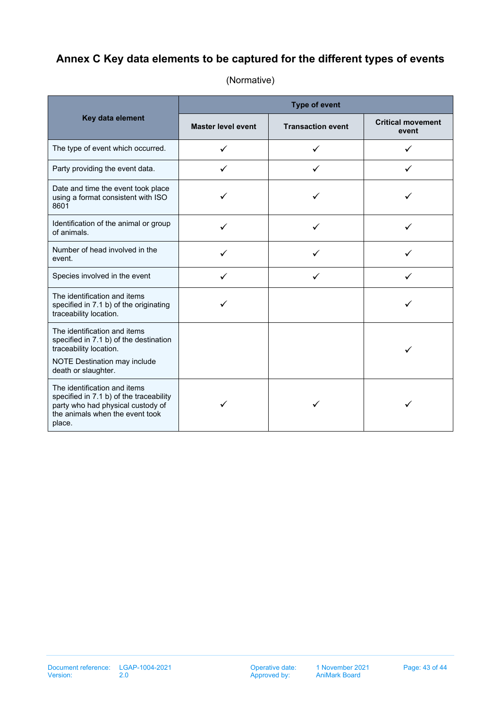# <span id="page-42-0"></span>**Annex C Key data elements to be captured for the different types of events**

|                                                                                                                                                           | <b>Type of event</b>      |                          |                                   |  |  |
|-----------------------------------------------------------------------------------------------------------------------------------------------------------|---------------------------|--------------------------|-----------------------------------|--|--|
| Key data element                                                                                                                                          | <b>Master level event</b> | <b>Transaction event</b> | <b>Critical movement</b><br>event |  |  |
| The type of event which occurred.                                                                                                                         | ✓                         |                          | ✓                                 |  |  |
| Party providing the event data.                                                                                                                           | ✓                         | ✓                        | ✓                                 |  |  |
| Date and time the event took place<br>using a format consistent with ISO<br>8601                                                                          | ✓                         | ✓                        | ✓                                 |  |  |
| Identification of the animal or group<br>of animals.                                                                                                      | ✓                         |                          |                                   |  |  |
| Number of head involved in the<br>event.                                                                                                                  |                           |                          |                                   |  |  |
| Species involved in the event                                                                                                                             | ✓                         | ✓                        | $\checkmark$                      |  |  |
| The identification and items<br>specified in 7.1 b) of the originating<br>traceability location.                                                          |                           |                          |                                   |  |  |
| The identification and items<br>specified in 7.1 b) of the destination<br>traceability location.<br>NOTE Destination may include<br>death or slaughter.   |                           |                          |                                   |  |  |
| The identification and items<br>specified in 7.1 b) of the traceability<br>party who had physical custody of<br>the animals when the event took<br>place. |                           |                          |                                   |  |  |

## (Normative)